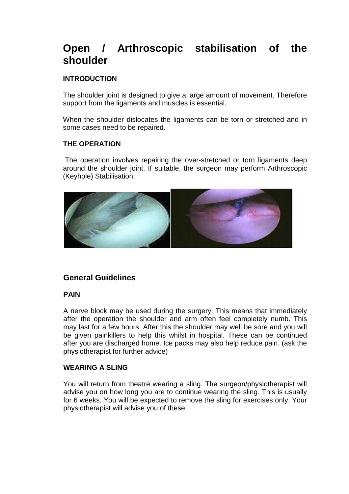# **Open / Arthroscopic stabilisation of the shoulder**

# **INTRODUCTION**

The shoulder joint is designed to give a large amount of movement. Therefore support from the ligaments and muscles is essential.

When the shoulder dislocates the ligaments can be torn or stretched and in some cases need to be repaired.

## **THE OPERATION**

 The operation involves repairing the over-stretched or torn ligaments deep around the shoulder joint. If suitable, the surgeon may perform Arthroscopic (Keyhole) Stabilisation.



# **General Guidelines**

# **PAIN**

A nerve block may be used during the surgery. This means that immediately after the operation the shoulder and arm often feel completely numb. This may last for a few hours. After this the shoulder may well be sore and you will be given painkillers to help this whilst in hospital. These can be continued after you are discharged home. Ice packs may also help reduce pain. (ask the physiotherapist for further advice)

#### **WEARING A SLING**

You will return from theatre wearing a sling. The surgeon/physiotherapist will advise you on how long you are to continue wearing the sling. This is usually for 6 weeks. You will be expected to remove the sling for exercises only. Your physiotherapist will advise you of these.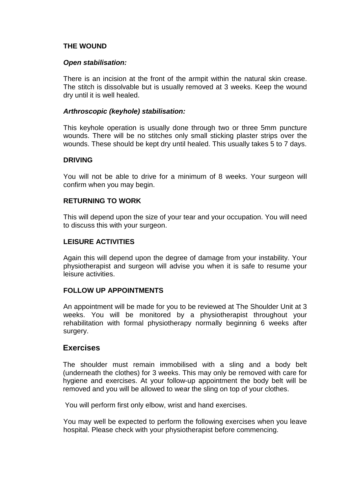## **THE WOUND**

#### **Open stabilisation:**

There is an incision at the front of the armpit within the natural skin crease. The stitch is dissolvable but is usually removed at 3 weeks. Keep the wound dry until it is well healed.

#### **Arthroscopic (keyhole) stabilisation:**

This keyhole operation is usually done through two or three 5mm puncture wounds. There will be no stitches only small sticking plaster strips over the wounds. These should be kept dry until healed. This usually takes 5 to 7 days.

#### **DRIVING**

You will not be able to drive for a minimum of 8 weeks. Your surgeon will confirm when you may begin.

# **RETURNING TO WORK**

This will depend upon the size of your tear and your occupation. You will need to discuss this with your surgeon.

#### **LEISURE ACTIVITIES**

Again this will depend upon the degree of damage from your instability. Your physiotherapist and surgeon will advise you when it is safe to resume your leisure activities.

#### **FOLLOW UP APPOINTMENTS**

An appointment will be made for you to be reviewed at The Shoulder Unit at 3 weeks. You will be monitored by a physiotherapist throughout your rehabilitation with formal physiotherapy normally beginning 6 weeks after surgery.

#### **Exercises**

The shoulder must remain immobilised with a sling and a body belt (underneath the clothes) for 3 weeks. This may only be removed with care for hygiene and exercises. At your follow-up appointment the body belt will be removed and you will be allowed to wear the sling on top of your clothes.

You will perform first only elbow, wrist and hand exercises.

You may well be expected to perform the following exercises when you leave hospital. Please check with your physiotherapist before commencing.